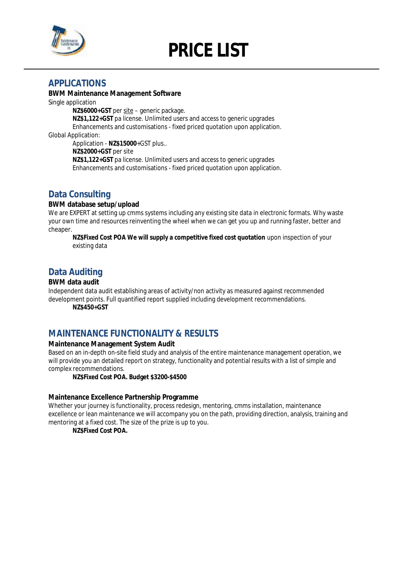

## **PRICE LIST**

### **APPLICATIONS**

**BWM Maintenance Management Software**  Single application

**NZ\$6000+GST** per site – generic package.

**NZ\$1,122+GST** pa license. Unlimited users and access to generic upgrades Enhancements and customisations - fixed priced quotation upon application.

Global Application:

Application - **NZ\$15000**+GST plus.. **NZ\$2000+GST** per site **NZ\$1,122+GST** pa license. Unlimited users and access to generic upgrades Enhancements and customisations - fixed priced quotation upon application.

## **Data Consulting**

**BWM database setup/upload** 

We are EXPERT at setting up cmms systems including any existing site data in electronic formats. Why waste your own time and resources reinventing the wheel when we can get you up and running faster, better and cheaper.

**NZ\$Fixed Cost POA We will supply a competitive fixed cost quotation** upon inspection of your existing data

## **Data Auditing**

**BWM data audit**  Independent data audit establishing areas of activity/non activity as measured against recommended development points. Full quantified report supplied including development recommendations. **NZ\$450+GST**

## **MAINTENANCE FUNCTIONALITY & RESULTS**

**Maintenance Management System Audit** 

Based on an in-depth on-site field study and analysis of the entire maintenance management operation, we will provide you an detailed report on strategy, functionality and potential results with a list of simple and complex recommendations.

**NZ\$Fixed Cost POA. Budget \$3200-\$4500**

#### **Maintenance Excellence Partnership Programme**

Whether your journey is functionality, process redesign, mentoring, cmms installation, maintenance excellence or lean maintenance we will accompany you on the path, providing direction, analysis, training and mentoring at a fixed cost. The size of the prize is up to you.

**NZ\$Fixed Cost POA.**